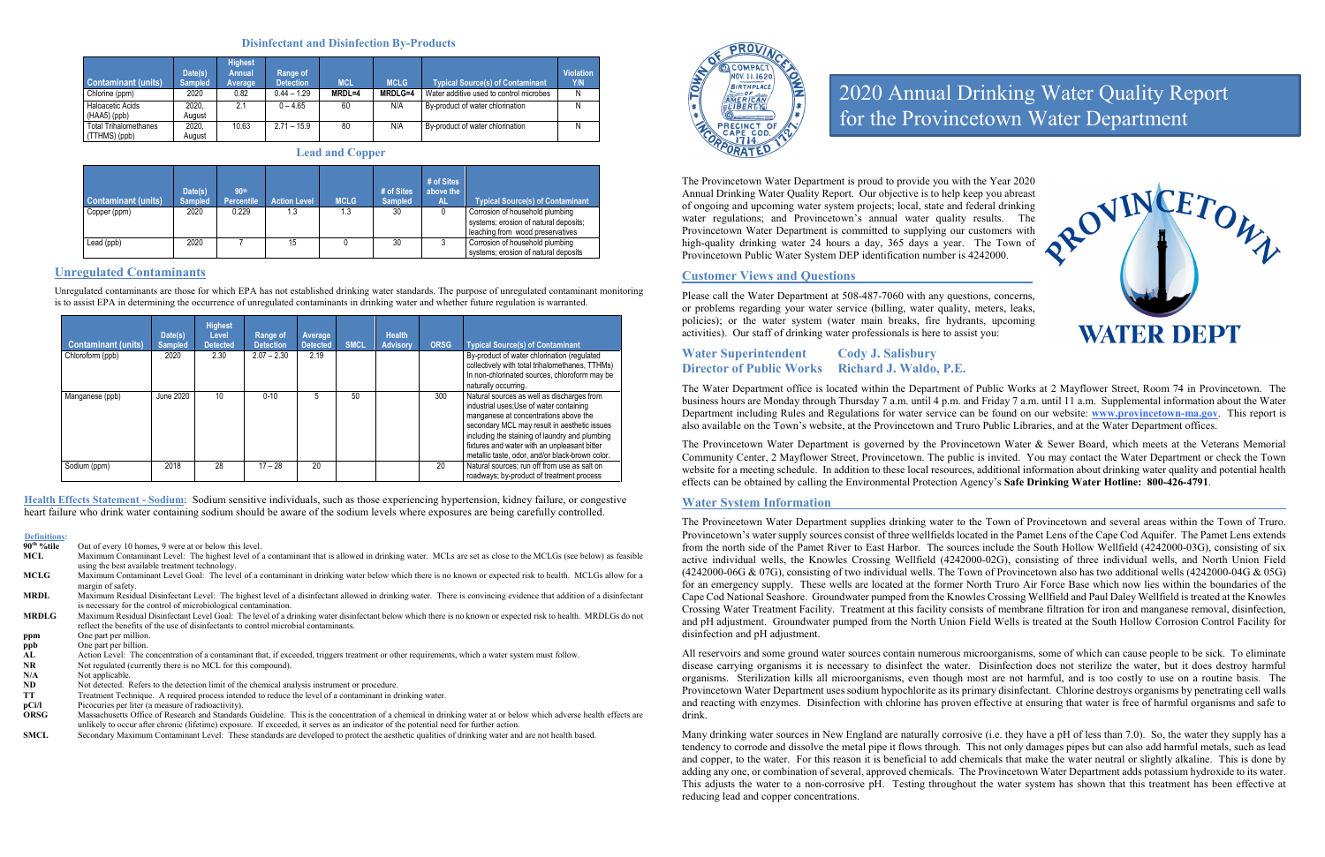#### **Disinfectant and Disinfection By-Products**

| Contaminant (units)<br>Chlorine (ppm)         | Date(s)<br><b>Sampled</b><br>2020 | <b>Highest</b><br><b>Annual</b><br>Average<br>0.82 | Range of<br><b>Detection</b><br>$0.44 - 1.29$ | <b>MCL</b><br>MRDL=4 | <b>MCLG</b><br><b>MRDLG=4</b> | <b>Typical Source(s) of Contaminant</b><br>Water additive used to control microbes | <b>Violation</b><br>Y/N<br>N |
|-----------------------------------------------|-----------------------------------|----------------------------------------------------|-----------------------------------------------|----------------------|-------------------------------|------------------------------------------------------------------------------------|------------------------------|
| Haloacetic Acids<br>$(HAA5)$ (ppb)            | 2020,<br>August                   | 2.1                                                | $0 - 4.65$                                    | 60                   | N/A                           | By-product of water chlorination                                                   | N                            |
| <b>Total Trihalomethanes</b><br>(TTHMS) (ppb) | 2020,<br>August                   | 10.63                                              | $2.71 - 15.9$                                 | 80                   | N/A                           | By-product of water chlorination                                                   | N                            |

**Lead and Copper**

| <b>Contaminant (units)</b> | Date(s)<br><b>Sampled</b> | 90th<br><b>Percentile</b> | <b>Action Level</b> | <b>MCLG</b> | # of Sites<br><b>Sampled</b> | # of Sites<br>above the<br><b>AL</b> | <b>Typical Source(s) of Contaminant</b>                                                                      |
|----------------------------|---------------------------|---------------------------|---------------------|-------------|------------------------------|--------------------------------------|--------------------------------------------------------------------------------------------------------------|
| Copper (ppm)               | 2020                      | 0.229                     | 1.3                 | 1.3         | 30                           |                                      | Corrosion of household plumbing<br>systems; erosion of natural deposits;<br>leaching from wood preservatives |
| Lead (ppb)                 | 2020                      |                           | 15                  |             | 30                           |                                      | Corrosion of household plumbing<br>systems; erosion of natural deposits                                      |

#### **Unregulated Contaminants**

Unregulated contaminants are those for which EPA has not established drinking water standards. The purpose of unregulated contaminant monitoring is to assist EPA in determining the occurrence of unregulated contaminants in drinking water and whether future regulation is warranted.

| <b>Contaminant (units)</b> | Date(s)<br><b>Sampled</b> | <b>Highest</b><br>Level<br><b>Detected</b> | Range of<br><b>Detection</b> | Average<br><b>Detected</b> | <b>SMCL</b> | <b>Health</b><br><b>Advisory</b> | <b>ORSG</b> | <b>Typical Source(s) of Contaminant</b>                                                                                                                                                                                                                                                                                              |
|----------------------------|---------------------------|--------------------------------------------|------------------------------|----------------------------|-------------|----------------------------------|-------------|--------------------------------------------------------------------------------------------------------------------------------------------------------------------------------------------------------------------------------------------------------------------------------------------------------------------------------------|
| Chloroform (ppb)           | 2020                      | 2.30                                       | $2.07 - 2.30$                | 2.19                       |             |                                  |             | By-product of water chlorination (regulated<br>collectively with total trihalomethanes, TTHMs)<br>In non-chlorinated sources, chloroform may be<br>naturally occurring.                                                                                                                                                              |
| Manganese (ppb)            | June 2020                 | 10                                         | $0 - 10$                     | 5                          | 50          |                                  | 300         | Natural sources as well as discharges from<br>industrial uses; Use of water containing<br>manganese at concentrations above the<br>secondary MCL may result in aesthetic issues<br>including the staining of laundry and plumbing<br>fixtures and water with an unpleasant bitter<br>metallic taste, odor, and/or black-brown color. |
| Sodium (ppm)               | 2018                      | 28                                         | $17 - 28$                    | 20                         |             |                                  | 20          | Natural sources; run off from use as salt on<br>roadways; by-product of treatment process                                                                                                                                                                                                                                            |

- **pCi/l** Picocuries per liter (a measure of radioactivity).<br> **ORSG** Massachusetts Office of Research and Standards
- **ORSG** Massachusetts Office of Research and Standards Guideline. This is the concentration of a chemical in drinking water at or below which adverse health effects are unlikely to occur after chronic (lifetime) exposure. If exceeded, it serves as an indicator of the potential need for further action.

**Health Effects Statement - Sodium**: Sodium sensitive individuals, such as those experiencing hypertension, kidney failure, or congestive heart failure who drink water containing sodium should be aware of the sodium levels where exposures are being carefully controlled.

## **Definitions:**

Out of every 10 homes, 9 were at or below this level.

| MCL |                                                | Maximum Contaminant Level: The highest level of a contaminant that is allowed in drinking water. MCLs are set as close to the MCLGs (see below) as feasible |  |
|-----|------------------------------------------------|-------------------------------------------------------------------------------------------------------------------------------------------------------------|--|
|     | using the best available treatment technology. |                                                                                                                                                             |  |

**MCLG** Maximum Contaminant Level Goal: The level of a contaminant in drinking water below which there is no known or expected risk to health. MCLGs allow for a margin of safety.

**MRDL** Maximum Residual Disinfectant Level: The highest level of a disinfectant allowed in drinking water. There is convincing evidence that addition of a disinfectant is necessary for the control of microbiological contamination.

**MRDLG** Maximum Residual Disinfectant Level Goal: The level of a drinking water disinfectant below which there is no known or expected risk to health. MRDLGs do not reflect the benefits of the use of disinfectants to control microbial contaminants.

**ppm** One part per million.

**ppb** One part per billion.<br>**AL** Action Level: The c

AL Action Level: The concentration of a contaminant that, if exceeded, triggers treatment or other requirements, which a water system must follow.<br>NR Not regulated (currently there is no MCL for this compound).

**NR** Not regulated (currently there is no MCL for this compound).<br>
N/A Not applicable.

**N/A** Not applicable.<br>**ND** Not detected. F

**ND** Not detected. Refers to the detection limit of the chemical analysis instrument or procedure.<br>TT Treatment Technique. A required process intended to reduce the level of a contaminant in d

**TT** Treatment Technique. A required process intended to reduce the level of a contaminant in drinking water.

**SMCL** Secondary Maximum Contaminant Level: These standards are developed to protect the aesthetic qualities of drinking water and are not health based.



The Provincetown Water Department is proud to provide you with the Year 2020 Annual Drinking Water Quality Report. Our objective is to help keep you abreast of ongoing and upcoming water system projects; local, state and federal drinking water regulations; and Provincetown's annual water quality results. The Provincetown Water Department is committed to supplying our customers with high-quality drinking water 24 hours a day, 365 days a year. The Town of Provincetown Public Water System DEP identification number is 4242000.

#### **Customer Views and Questions**

Please call the Water Department at 508-487-7060 with any questions, concerns, or problems regarding your water service (billing, water quality, meters, leaks, policies); or the water system (water main breaks, fire hydrants, upcoming activities). Our staff of drinking water professionals is here to assist you:

**Water Superintendent Cody J. Salisbury Director of Public Works Richard J. Waldo, P.E.**

The Water Department office is located within the Department of Public Works at 2 Mayflower Street, Room 74 in Provincetown. The business hours are Monday through Thursday 7 a.m. until 4 p.m. and Friday 7 a.m. until 11 a.m. Supplemental information about the Water Department including Rules and Regulations for water service can be found on our website: **[www.provincetown-ma.gov](http://www.provincetowngov.org/)**. This report is also available on the Town's website, at the Provincetown and Truro Public Libraries, and at the Water Department offices.

The Provincetown Water Department is governed by the Provincetown Water & Sewer Board, which meets at the Veterans Memorial Community Center, 2 Mayflower Street, Provincetown. The public is invited. You may contact the Water Department or check the Town website for a meeting schedule. In addition to these local resources, additional information about drinking water quality and potential health effects can be obtained by calling the Environmental Protection Agency's **Safe Drinking Water Hotline: 800-426-4791**.

#### **Water System Information**

The Provincetown Water Department supplies drinking water to the Town of Provincetown and several areas within the Town of Truro. Provincetown's water supply sources consist of three wellfields located in the Pamet Lens of the Cape Cod Aquifer. The Pamet Lens extends from the north side of the Pamet River to East Harbor. The sources include the South Hollow Wellfield (4242000-03G), consisting of six active individual wells, the Knowles Crossing Wellfield (4242000-02G), consisting of three individual wells, and North Union Field (4242000-06G & 07G), consisting of two individual wells. The Town of Provincetown also has two additional wells (4242000-04G & 05G) for an emergency supply. These wells are located at the former North Truro Air Force Base which now lies within the boundaries of the Cape Cod National Seashore. Groundwater pumped from the Knowles Crossing Wellfield and Paul Daley Wellfield is treated at the Knowles Crossing Water Treatment Facility. Treatment at this facility consists of membrane filtration for iron and manganese removal, disinfection, and pH adjustment. Groundwater pumped from the North Union Field Wells is treated at the South Hollow Corrosion Control Facility for disinfection and pH adjustment.

All reservoirs and some ground water sources contain numerous microorganisms, some of which can cause people to be sick. To eliminate disease carrying organisms it is necessary to disinfect the water. Disinfection does not sterilize the water, but it does destroy harmful organisms. Sterilization kills all microorganisms, even though most are not harmful, and is too costly to use on a routine basis. The Provincetown Water Department uses sodium hypochlorite as its primary disinfectant. Chlorine destroys organisms by penetrating cell walls and reacting with enzymes. Disinfection with chlorine has proven effective at ensuring that water is free of harmful organisms and safe to drink.

Many drinking water sources in New England are naturally corrosive (i.e. they have a pH of less than 7.0). So, the water they supply has a tendency to corrode and dissolve the metal pipe it flows through. This not only damages pipes but can also add harmful metals, such as lead and copper, to the water. For this reason it is beneficial to add chemicals that make the water neutral or slightly alkaline. This is done by adding any one, or combination of several, approved chemicals. The Provincetown Water Department adds potassium hydroxide to its water. This adjusts the water to a non-corrosive pH. Testing throughout the water system has shown that this treatment has been effective at reducing lead and copper concentrations.



# 2020 Annual Drinking Water Quality Report for the Provincetown Water Department